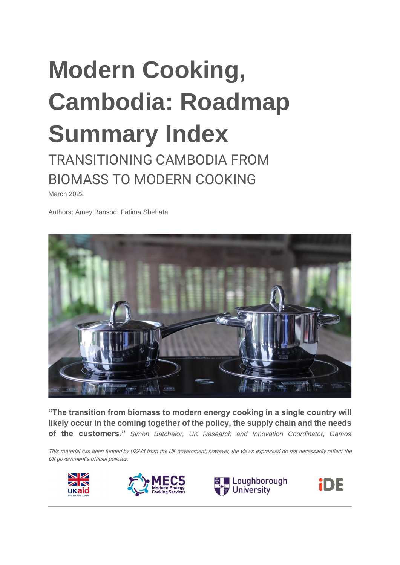# **Modern Cooking, Cambodia: Roadmap Summary Index**

TRANSITIONING CAMBODIA FROM BIOMASS TO MODERN COOKING

March 2022

Authors: Amey Bansod, Fatima Shehata



**"The transition from biomass to modern energy cooking in a single country will likely occur in the coming together of the policy, the supply chain and the needs of the customers."** *Simon Batchelor, UK Research and Innovation Coordinator, Gamos*

This material has been funded by UKAid from the UK government; however, the views expressed do not necessarily reflect the UK government's official policies.







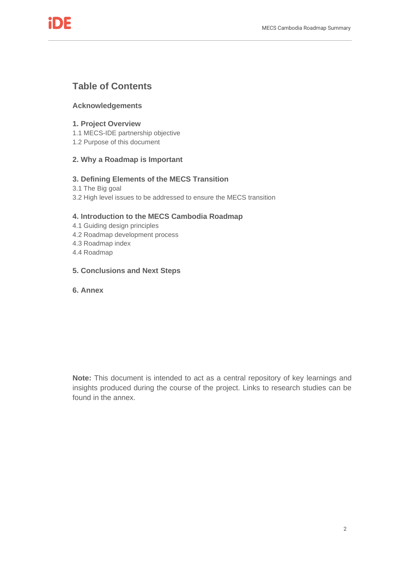

### **Table of Contents**

#### **Acknowledgements**

#### **1. Project Overview**

- 1.1 MECS-IDE partnership objective
- 1.2 Purpose of this document

### **2. Why a Roadmap is Important**

#### **3. Defining Elements of the MECS Transition**

- 3.1 The Big goal
- 3.2 High level issues to be addressed to ensure the MECS transition

#### **4. Introduction to the MECS Cambodia Roadmap**

- 4.1 Guiding design principles
- 4.2 Roadmap development process
- 4.3 Roadmap index
- 4.4 Roadmap
- **5. Conclusions and Next Steps**
- **6. Annex**

**Note:** This document is intended to act as a central repository of key learnings and insights produced during the course of the project. Links to research studies can be found in the annex.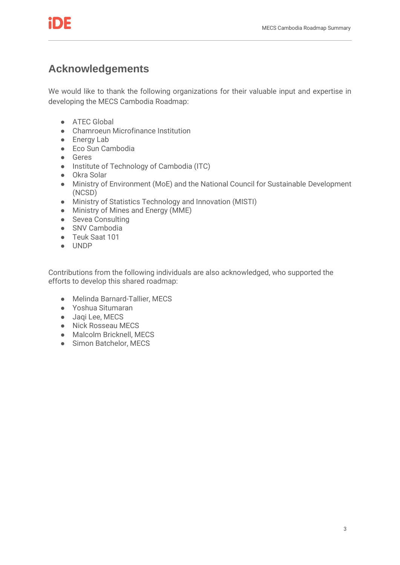

# **Acknowledgements**

We would like to thank the following organizations for their valuable input and expertise in developing the MECS Cambodia Roadmap:

- ATEC Global
- Chamroeun Microfinance Institution
- Energy Lab
- Eco Sun Cambodia
- Geres
- Institute of Technology of Cambodia (ITC)
- Okra Solar
- Ministry of Environment (MoE) and the National Council for Sustainable Development (NCSD)
- Ministry of Statistics Technology and Innovation (MISTI)
- Ministry of Mines and Energy (MME)
- Sevea Consulting
- SNV Cambodia
- Teuk Saat 101
- UNDP

Contributions from the following individuals are also acknowledged, who supported the efforts to develop this shared roadmap:

- Melinda Barnard-Tallier, MECS
- Yoshua Situmaran
- Jaqi Lee, MECS
- Nick Rosseau MECS
- Malcolm Bricknell, MECS
- Simon Batchelor, MECS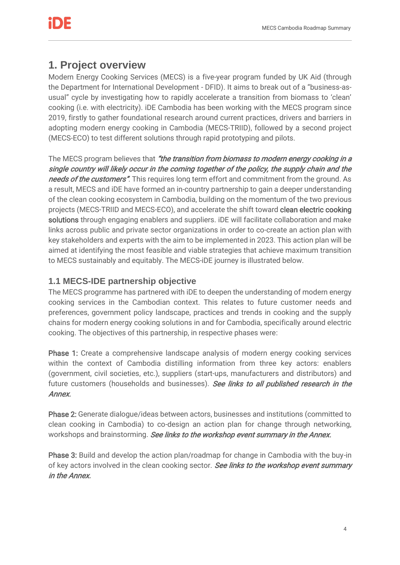# **1. Project overview**

Modern Energy Cooking Services (MECS) is a five-year program funded by UK Aid (through the Department for International Development - DFID). It aims to break out of a "business-asusual" cycle by investigating how to rapidly accelerate a transition from biomass to 'clean' cooking (i.e. with electricity). iDE Cambodia has been working with the MECS program since 2019, firstly to gather foundational research around current practices, drivers and barriers in adopting modern energy cooking in Cambodia (MECS-TRIID), followed by a second project (MECS-ECO) to test different solutions through rapid prototyping and pilots.

The MECS program believes that "the transition from biomass to modern energy cooking in a single country will likely occur in the coming together of the policy, the supply chain and the needs of the customers". This requires long term effort and commitment from the ground. As a result, MECS and iDE have formed an in-country partnership to gain a deeper understanding of the clean cooking ecosystem in Cambodia, building on the momentum of the two previous projects (MECS-TRIID and MECS-ECO), and accelerate the shift toward clean electric cooking solutions through engaging enablers and suppliers. iDE will facilitate collaboration and make links across public and private sector organizations in order to co-create an action plan with key stakeholders and experts with the aim to be implemented in 2023. This action plan will be aimed at identifying the most feasible and viable strategies that achieve maximum transition to MECS sustainably and equitably. The MECS-iDE journey is illustrated below.

### **1.1 MECS-IDE partnership objective**

The MECS programme has partnered with iDE to deepen the understanding of modern energy cooking services in the Cambodian context. This relates to future customer needs and preferences, government policy landscape, practices and trends in cooking and the supply chains for modern energy cooking solutions in and for Cambodia, specifically around electric cooking. The objectives of this partnership, in respective phases were:

Phase 1: Create a comprehensive landscape analysis of modern energy cooking services within the context of Cambodia distilling information from three key actors: enablers (government, civil societies, etc.), suppliers (start-ups, manufacturers and distributors) and future customers (households and businesses). See links to all published research in the Annex.

Phase 2: Generate dialogue/ideas between actors, businesses and institutions (committed to clean cooking in Cambodia) to co-design an action plan for change through networking, workshops and brainstorming. See links to the workshop event summary in the Annex.

Phase 3: Build and develop the action plan/roadmap for change in Cambodia with the buy-in of key actors involved in the clean cooking sector. See links to the workshop event summary in the Annex.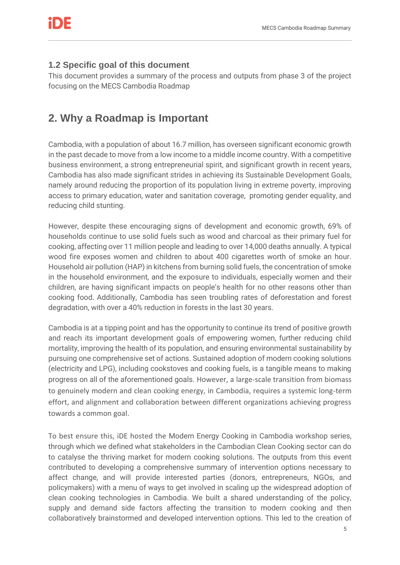### **1.2 Specific goal of this document**

This document provides a summary of the process and outputs from phase 3 of the project focusing on the MECS Cambodia Roadmap

# **2. Why a Roadmap is Important**

Cambodia, with a population of about 16.7 million, has overseen significant economic growth in the past decade to move from a low income to a middle income country. With a competitive business environment, a strong entrepreneurial spirit, and significant growth in recent years, Cambodia has also made significant strides in achieving its Sustainable Development Goals, namely around reducing the proportion of its population living in extreme poverty, improving access to primary education, water and sanitation coverage, promoting gender equality, and reducing child stunting.

However, despite these encouraging signs of development and economic growth, 69% of households continue to use solid fuels such as wood and charcoal as their primary fuel for cooking, affecting over 11 million people and leading to over 14,000 deaths annually. A typical wood fire exposes women and children to about 400 cigarettes worth of smoke an hour. Household air pollution (HAP) in kitchens from burning solid fuels, the concentration of smoke in the household environment, and the exposure to individuals, especially women and their children, are having significant impacts on people's health for no other reasons other than cooking food. Additionally, Cambodia has seen troubling rates of deforestation and forest degradation, with over a 40% reduction in forests in the last 30 years.

Cambodia is at a tipping point and has the opportunity to continue its trend of positive growth and reach its important development goals of empowering women, further reducing child mortality, improving the health of its population, and ensuring environmental sustainability by pursuing one comprehensive set of actions. Sustained adoption of modern cooking solutions (electricity and LPG), including cookstoves and cooking fuels, is a tangible means to making progress on all of the aforementioned goals. However, a large-scale transition from biomass to genuinely modern and clean cooking energy, in Cambodia, requires a systemic long-term effort, and alignment and collaboration between different organizations achieving progress towards a common goal.

To best ensure this, iDE hosted the Modern Energy Cooking in Cambodia workshop series, through which we defined what stakeholders in the Cambodian Clean Cooking sector can do to catalyse the thriving market for modern cooking solutions. The outputs from this event contributed to developing a comprehensive summary of intervention options necessary to affect change, and will provide interested parties (donors, entrepreneurs, NGOs, and policymakers) with a menu of ways to get involved in scaling up the widespread adoption of clean cooking technologies in Cambodia. We built a shared understanding of the policy, supply and demand side factors affecting the transition to modern cooking and then collaboratively brainstormed and developed intervention options. This led to the creation of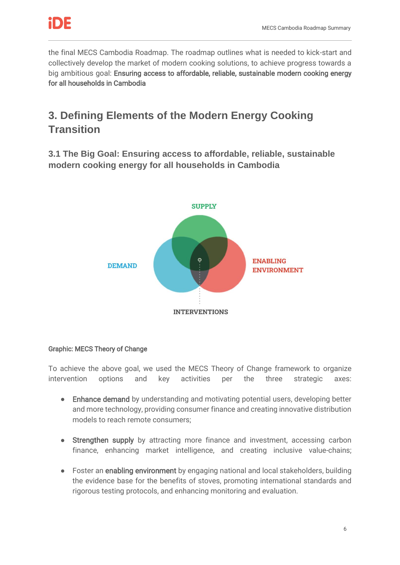

the final MECS Cambodia Roadmap. The roadmap outlines what is needed to kick-start and collectively develop the market of modern cooking solutions, to achieve progress towards a big ambitious goal: Ensuring access to affordable, reliable, sustainable modern cooking energy for all households in Cambodia

# **3. Defining Elements of the Modern Energy Cooking Transition**

**3.1 The Big Goal: Ensuring access to affordable, reliable, sustainable modern cooking energy for all households in Cambodia** 



### Graphic: MECS Theory of Change

To achieve the above goal, we used the MECS Theory of Change framework to organize intervention options and key activities per the three strategic axes:

- Enhance demand by understanding and motivating potential users, developing better and more technology, providing consumer finance and creating innovative distribution models to reach remote consumers;
- Strengthen supply by attracting more finance and investment, accessing carbon finance, enhancing market intelligence, and creating inclusive value-chains;
- Foster an enabling environment by engaging national and local stakeholders, building the evidence base for the benefits of stoves, promoting international standards and rigorous testing protocols, and enhancing monitoring and evaluation.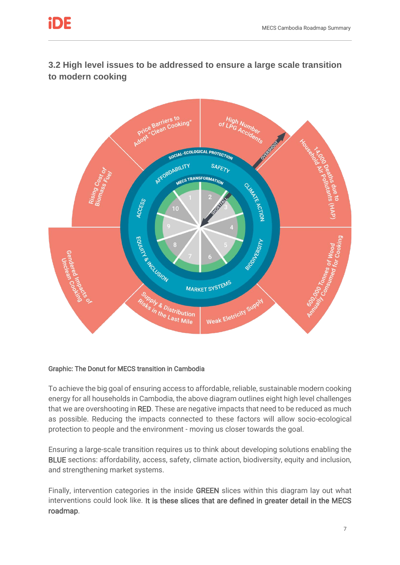

**3.2 High level issues to be addressed to ensure a large scale transition to modern cooking**



### Graphic: The Donut for MECS transition in Cambodia

To achieve the big goal of ensuring access to affordable, reliable, sustainable modern cooking energy for all households in Cambodia, the above diagram outlines eight high level challenges that we are overshooting in RED. These are negative impacts that need to be reduced as much as possible. Reducing the impacts connected to these factors will allow socio-ecological protection to people and the environment - moving us closer towards the goal.

Ensuring a large-scale transition requires us to think about developing solutions enabling the BLUE sections: affordability, access, safety, climate action, biodiversity, equity and inclusion, and strengthening market systems.

Finally, intervention categories in the inside GREEN slices within this diagram lay out what interventions could look like. It is these slices that are defined in greater detail in the MECS roadmap.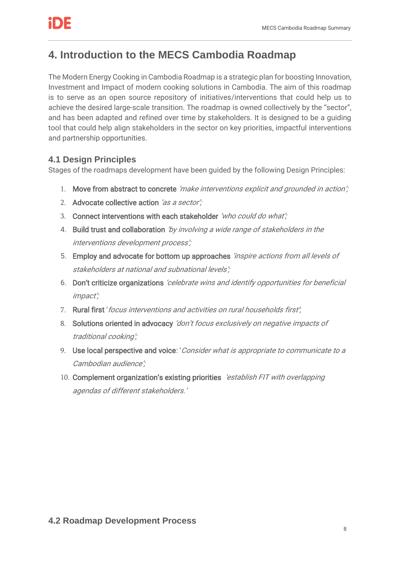# **4. Introduction to the MECS Cambodia Roadmap**

The Modern Energy Cooking in Cambodia Roadmap is a strategic plan for boosting Innovation, Investment and Impact of modern cooking solutions in Cambodia. The aim of this roadmap is to serve as an open source repository of initiatives/interventions that could help us to achieve the desired large-scale transition. The roadmap is owned collectively by the "sector", and has been adapted and refined over time by stakeholders. It is designed to be a guiding tool that could help align stakeholders in the sector on key priorities, impactful interventions and partnership opportunities.

### **4.1 Design Principles**

Stages of the roadmaps development have been guided by the following Design Principles:

- 1. Move from abstract to concrete 'make interventions explicit and grounded in action';
- 2. Advocate collective action 'as a sector':
- 3. Connect interventions with each stakeholder 'who could do what';
- 4. Build trust and collaboration 'by involving a wide range of stakeholders in the interventions development process';
- 5. Employ and advocate for bottom up approaches 'inspire actions from all levels of stakeholders at national and subnational levels';
- 6. Don't criticize organizations 'celebrate wins and identify opportunities for beneficial impact';
- 7. Rural first 'focus interventions and activities on rural households first';
- 8. Solutions oriented in advocacy 'don't focus exclusively on negative impacts of traditional cooking';
- 9. Use local perspective and voice: 'Consider what is appropriate to communicate to a Cambodian audience';
- 10. Complement organization's existing priorities 'establish FIT with overlapping agendas of different stakeholders.'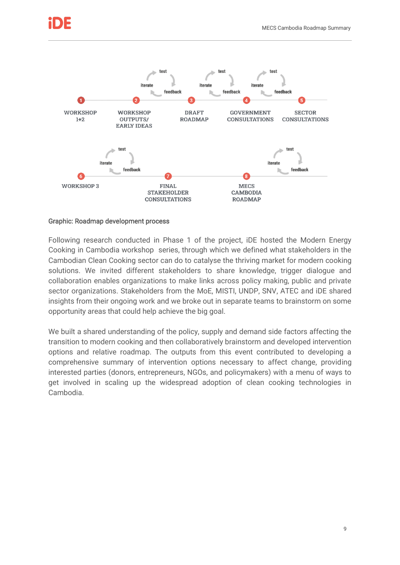

#### Graphic: Roadmap development process

Following research conducted in Phase 1 of the project, iDE hosted the Modern Energy Cooking in Cambodia workshop series, through which we defined what stakeholders in the Cambodian Clean Cooking sector can do to catalyse the thriving market for modern cooking solutions. We invited different stakeholders to share knowledge, trigger dialogue and collaboration enables organizations to make links across policy making, public and private sector organizations. Stakeholders from the MoE, MISTI, UNDP, SNV, ATEC and iDE shared insights from their ongoing work and we broke out in separate teams to brainstorm on some opportunity areas that could help achieve the big goal.

We built a shared understanding of the policy, supply and demand side factors affecting the transition to modern cooking and then collaboratively brainstorm and developed intervention options and relative roadmap. The outputs from this event contributed to developing a comprehensive summary of intervention options necessary to affect change, providing interested parties (donors, entrepreneurs, NGOs, and policymakers) with a menu of ways to get involved in scaling up the widespread adoption of clean cooking technologies in Cambodia.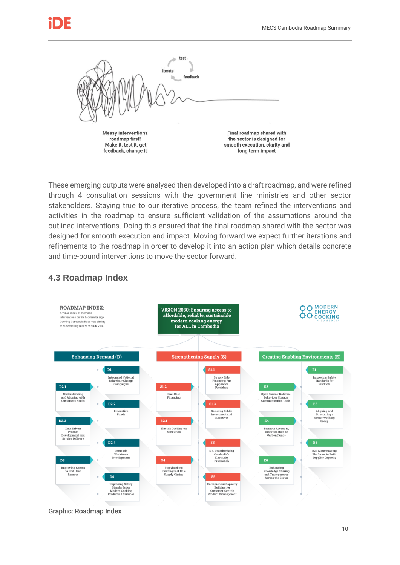

These emerging outputs were analysed then developed into a draft roadmap, and were refined through 4 consultation sessions with the government line ministries and other sector stakeholders. Staying true to our iterative process, the team refined the interventions and activities in the roadmap to ensure sufficient validation of the assumptions around the outlined interventions. Doing this ensured that the final roadmap shared with the sector was designed for smooth execution and impact. Moving forward we expect further iterations and refinements to the roadmap in order to develop it into an action plan which details concrete and time-bound interventions to move the sector forward.



### **4.3 Roadmap Index**

Graphic: Roadmap Index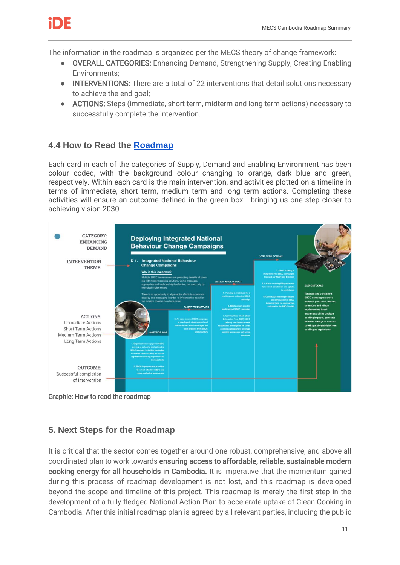

The information in the roadmap is organized per the MECS theory of change framework:

- OVERALL CATEGORIES: Enhancing Demand, Strengthening Supply, Creating Enabling Environments;
- INTERVENTIONS: There are a total of 22 interventions that detail solutions necessary to achieve the end goal;
- ACTIONS: Steps (immediate, short term, midterm and long term actions) necessary to successfully complete the intervention.

### **4.4 How to Read the [Roadmap](https://mecs.org.uk/wp-content/uploads/2022/04/MECS-Cambodia-Roadmaps.pdf)**

Each card in each of the categories of Supply, Demand and Enabling Environment has been colour coded, with the background colour changing to orange, dark blue and green, respectively. Within each card is the main intervention, and activities plotted on a timeline in terms of immediate, short term, medium term and long term actions. Completing these activities will ensure an outcome defined in the green box - bringing us one step closer to achieving vision 2030.



Graphic: How to read the roadmap

### **5. Next Steps for the Roadmap**

It is critical that the sector comes together around one robust, comprehensive, and above all coordinated plan to work towards ensuring access to affordable, reliable, sustainable modern cooking energy for all households in Cambodia. It is imperative that the momentum gained during this process of roadmap development is not lost, and this roadmap is developed beyond the scope and timeline of this project. This roadmap is merely the first step in the development of a fully-fledged National Action Plan to accelerate uptake of Clean Cooking in Cambodia. After this initial roadmap plan is agreed by all relevant parties, including the public